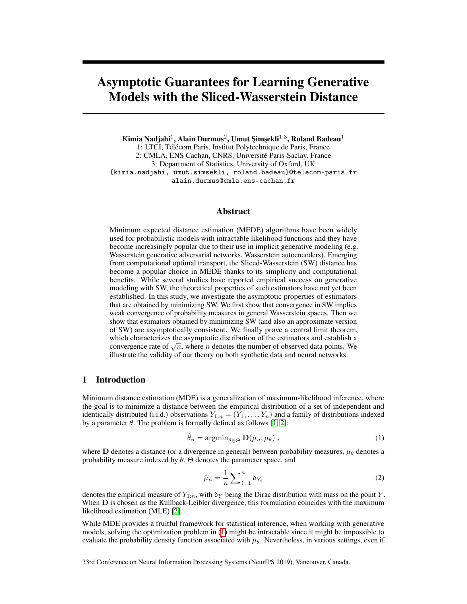# Asymptotic Guarantees for Learning Generative Models with the Sliced-Wasserstein Distance

Kimia Nadjahi $^1$ , Alain Durmus $^2$ , Umut Şimşekli $^{1,3}$ , Roland Badeau $^1$ 1: LTCI, Télécom Paris, Institut Polytechnique de Paris, France 2: CMLA, ENS Cachan, CNRS, Université Paris-Saclay, France 3: Department of Statistics, University of Oxford, UK {kimia.nadjahi, umut.simsekli, roland.badeau}@telecom-paris.fr alain.durmus@cmla.ens-cachan.fr

## Abstract

Minimum expected distance estimation (MEDE) algorithms have been widely used for probabilistic models with intractable likelihood functions and they have become increasingly popular due to their use in implicit generative modeling (e.g. Wasserstein generative adversarial networks, Wasserstein autoencoders). Emerging from computational optimal transport, the Sliced-Wasserstein (SW) distance has become a popular choice in MEDE thanks to its simplicity and computational benefits. While several studies have reported empirical success on generative modeling with SW, the theoretical properties of such estimators have not yet been established. In this study, we investigate the asymptotic properties of estimators that are obtained by minimizing SW. We first show that convergence in SW implies weak convergence of probability measures in general Wasserstein spaces. Then we show that estimators obtained by minimizing SW (and also an approximate version of SW) are asymptotically consistent. We finally prove a central limit theorem, which characterizes the asymptotic distribution of the estimators and establish a convergence rate of  $\sqrt{n}$ , where *n* denotes the number of observed data points. We illustrate the validity of our theory on both synthetic data and neural networks.

## 1 Introduction

Minimum distance estimation (MDE) is a generalization of maximum-likelihood inference, where the goal is to minimize a distance between the empirical distribution of a set of independent and identically distributed (i.i.d.) observations  $Y_{1:n} = (Y_1, \ldots, Y_n)$  and a family of distributions indexed by a parameter  $\theta$ . The problem is formally defined as follows [1, 2]:

$$
\hat{\theta}_n = \operatorname{argmin}_{\theta \in \Theta} \mathbf{D}(\hat{\mu}_n, \mu_\theta), \qquad (1)
$$

where D denotes a distance (or a divergence in general) between probability measures,  $\mu_{\theta}$  denotes a probability measure indexed by  $\theta$ ,  $\Theta$  denotes the parameter space, and

$$
\hat{\mu}_n = \frac{1}{n} \sum_{i=1}^n \delta_{Y_i} \tag{2}
$$

denotes the empirical measure of  $Y_{1:n}$ , with  $\delta_Y$  being the Dirac distribution with mass on the point Y. When **D** is chosen as the Kullback-Leibler divergence, this formulation coincides with the maximum likelihood estimation (MLE) [2].

While MDE provides a fruitful framework for statistical inference, when working with generative models, solving the optimization problem in (1) might be intractable since it might be impossible to evaluate the probability density function associated with  $\mu_{\theta}$ . Nevertheless, in various settings, even if

33rd Conference on Neural Information Processing Systems (NeurIPS 2019), Vancouver, Canada.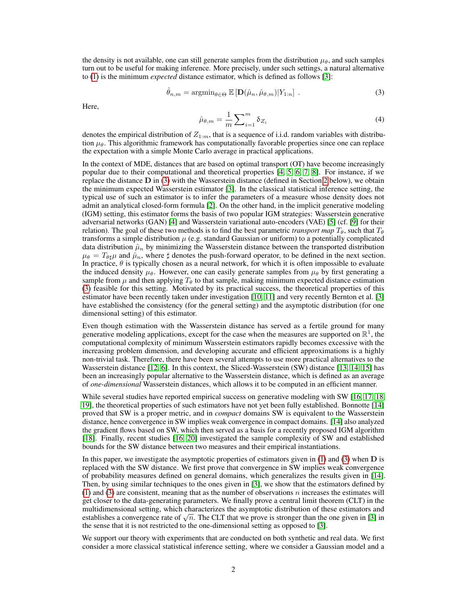the density is not available, one can still generate samples from the distribution  $\mu_{\theta}$ , and such samples turn out to be useful for making inference. More precisely, under such settings, a natural alternative to (1) is the minimum *expected* distance estimator, which is defined as follows [3]:

$$
\hat{\theta}_{n,m} = \operatorname{argmin}_{\theta \in \Theta} \mathbb{E} \left[ \mathbf{D}(\hat{\mu}_n, \hat{\mu}_{\theta,m}) | Y_{1:n} \right]. \tag{3}
$$

Here,

$$
\hat{\mu}_{\theta,m} = \frac{1}{m} \sum_{i=1}^{m} \delta_{Z_i} \tag{4}
$$

denotes the empirical distribution of  $Z_{1:m}$ , that is a sequence of i.i.d. random variables with distribution  $\mu_{\theta}$ . This algorithmic framework has computationally favorable properties since one can replace the expectation with a simple Monte Carlo average in practical applications.

In the context of MDE, distances that are based on optimal transport (OT) have become increasingly popular due to their computational and theoretical properties [4, 5, 6, 7, 8]. For instance, if we replace the distance  $D$  in (3) with the Wasserstein distance (defined in Section 2 below), we obtain the minimum expected Wasserstein estimator [3]. In the classical statistical inference setting, the typical use of such an estimator is to infer the parameters of a measure whose density does not admit an analytical closed-form formula [2]. On the other hand, in the implicit generative modeling (IGM) setting, this estimator forms the basis of two popular IGM strategies: Wasserstein generative adversarial networks (GAN) [4] and Wasserstein variational auto-encoders (VAE) [5] (cf. [9] for their relation). The goal of these two methods is to find the best parametric *transport map*  $T_{\theta}$ , such that  $T_{\theta}$ transforms a simple distribution  $\mu$  (e.g. standard Gaussian or uniform) to a potentially complicated data distribution  $\hat{\mu}_n$  by minimizing the Wasserstein distance between the transported distribution  $\mu_{\theta} = T_{\theta\sharp}\mu$  and  $\hat{\mu}_n$ , where  $\sharp$  denotes the push-forward operator, to be defined in the next section. In practice,  $\theta$  is typically chosen as a neural network, for which it is often impossible to evaluate the induced density  $\mu_{\theta}$ . However, one can easily generate samples from  $\mu_{\theta}$  by first generating a sample from  $\mu$  and then applying  $T_{\theta}$  to that sample, making minimum expected distance estimation (3) feasible for this setting. Motivated by its practical success, the theoretical properties of this estimator have been recently taken under investigation [10, 11] and very recently Bernton et al. [3] have established the consistency (for the general setting) and the asymptotic distribution (for one dimensional setting) of this estimator.

Even though estimation with the Wasserstein distance has served as a fertile ground for many generative modeling applications, except for the case when the measures are supported on  $\mathbb{R}^1$ , the computational complexity of minimum Wasserstein estimators rapidly becomes excessive with the increasing problem dimension, and developing accurate and efficient approximations is a highly non-trivial task. Therefore, there have been several attempts to use more practical alternatives to the Wasserstein distance [12, 6]. In this context, the Sliced-Wasserstein (SW) distance [13, 14, 15] has been an increasingly popular alternative to the Wasserstein distance, which is defined as an average of *one-dimensional* Wasserstein distances, which allows it to be computed in an efficient manner.

While several studies have reported empirical success on generative modeling with SW [16, 17, 18, 19], the theoretical properties of such estimators have not yet been fully established. Bonnotte [14] proved that SW is a proper metric, and in *compact* domains SW is equivalent to the Wasserstein distance, hence convergence in SW implies weak convergence in compact domains. [14] also analyzed the gradient flows based on SW, which then served as a basis for a recently proposed IGM algorithm [18]. Finally, recent studies [16, 20] investigated the sample complexity of SW and established bounds for the SW distance between two measures and their empirical instantiations.

In this paper, we investigate the asymptotic properties of estimators given in  $(1)$  and  $(3)$  when  $D$  is replaced with the SW distance. We first prove that convergence in SW implies weak convergence of probability measures defined on general domains, which generalizes the results given in [14]. Then, by using similar techniques to the ones given in [3], we show that the estimators defined by (1) and (3) are consistent, meaning that as the number of observations n increases the estimates will get closer to the data-generating parameters. We finally prove a central limit theorem (CLT) in the multidimensional setting, which characterizes the asymptotic distribution of these estimators and establishes a convergence rate of  $\sqrt{n}$ . The CLT that we prove is stronger than the one given in [3] in the sense that it is not restricted to the one-dimensional setting as opposed to [3].

We support our theory with experiments that are conducted on both synthetic and real data. We first consider a more classical statistical inference setting, where we consider a Gaussian model and a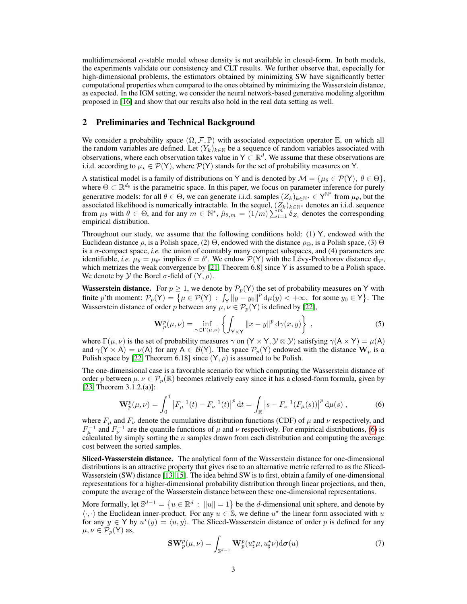multidimensional  $\alpha$ -stable model whose density is not available in closed-form. In both models, the experiments validate our consistency and CLT results. We further observe that, especially for high-dimensional problems, the estimators obtained by minimizing SW have significantly better computational properties when compared to the ones obtained by minimizing the Wasserstein distance, as expected. In the IGM setting, we consider the neural network-based generative modeling algorithm proposed in [16] and show that our results also hold in the real data setting as well.

## 2 Preliminaries and Technical Background

We consider a probability space  $(\Omega, \mathcal{F}, \mathbb{P})$  with associated expectation operator  $\mathbb{E}$ , on which all the random variables are defined. Let  $(Y_k)_{k \in \mathbb{N}}$  be a sequence of random variables associated with observations, where each observation takes value in  $Y \subset \mathbb{R}^d$ . We assume that these observations are i.i.d. according to  $\mu_* \in \mathcal{P}(Y)$ , where  $\mathcal{P}(Y)$  stands for the set of probability measures on Y.

A statistical model is a family of distributions on Y and is denoted by  $M = \{ \mu_{\theta} \in \mathcal{P}(Y), \ \theta \in \Theta \}$ , where  $\Theta \subset \mathbb{R}^{d_{\theta}}$  is the parametric space. In this paper, we focus on parameter inference for purely generative models: for all  $\theta \in \Theta$ , we can generate i.i.d. samples  $(Z_k)_{k \in \mathbb{N}^*} \in Y^{\mathbb{N}^*}$  from  $\mu_\theta$ , but the associated likelihood is numerically intractable. In the sequel,  $(Z_k)_{k \in \mathbb{N}^*}$  denotes an i.i.d. sequence from  $\mu_{\theta}$  with  $\theta \in \Theta$ , and for any  $m \in \mathbb{N}^*$ ,  $\hat{\mu}_{\theta,m} = (1/m) \sum_{i=1}^{m} \delta_{Z_i}$  denotes the corresponding empirical distribution.

Throughout our study, we assume that the following conditions hold: (1) Y, endowed with the Euclidean distance  $ρ$ , is a Polish space, (2)  $Θ$ , endowed with the distance  $ρ<sub>Θ</sub>$ , is a Polish space, (3)  $Θ$ is a σ-compact space, *i.e.* the union of countably many compact subspaces, and (4) parameters are identifiable, *i.e.*  $\mu_{\theta} = \mu_{\theta'}$  implies  $\theta = \theta'$ . We endow  $\mathcal{P}(Y)$  with the Lévy-Prokhorov distance  $d_{\mathcal{P}}$ , which metrizes the weak convergence by  $[21,$  Theorem 6.8] since Y is assumed to be a Polish space. We denote by  $Y$  the Borel  $\sigma$ -field of  $(Y, \rho)$ .

**Wasserstein distance.** For  $p \ge 1$ , we denote by  $\mathcal{P}_p(Y)$  the set of probability measures on Y with finite p'th moment:  $\mathcal{P}_p(Y) = \{ \mu \in \mathcal{P}(Y) : \int_Y ||y - y_0||^p d\mu(y) < +\infty, \text{ for some } y_0 \in Y \}.$  The Wasserstein distance of order p between any  $\mu, \nu \in \mathcal{P}_p(Y)$  is defined by [22],

$$
\mathbf{W}_p^p(\mu, \nu) = \inf_{\gamma \in \Gamma(\mu, \nu)} \left\{ \int_{\mathsf{Y} \times \mathsf{Y}} ||x - y||^p \, \mathrm{d}\gamma(x, y) \right\} \,, \tag{5}
$$

where  $\Gamma(\mu, \nu)$  is the set of probability measures  $\gamma$  on  $(Y \times Y, Y \otimes Y)$  satisfying  $\gamma(A \times Y) = \mu(A)$ and  $\gamma(Y \times A) = \nu(A)$  for any  $A \in \mathcal{B}(Y)$ . The space  $\mathcal{P}_p(Y)$  endowed with the distance  $W_p$  is a Polish space by [22, Theorem 6.18] since  $(Y, \rho)$  is assumed to be Polish.

The one-dimensional case is a favorable scenario for which computing the Wasserstein distance of order p between  $\mu, \nu \in \mathcal{P}_p(\mathbb{R})$  becomes relatively easy since it has a closed-form formula, given by [23, Theorem 3.1.2.(a)]:

$$
\mathbf{W}_p^p(\mu,\nu) = \int_0^1 \left| F_\mu^{-1}(t) - F_\nu^{-1}(t) \right|^p dt = \int_{\mathbb{R}} \left| s - F_\nu^{-1}(F_\mu(s)) \right|^p d\mu(s) , \tag{6}
$$

where  $F_{\mu}$  and  $F_{\nu}$  denote the cumulative distribution functions (CDF) of  $\mu$  and  $\nu$  respectively, and  $F_{\mu}^{-1}$  and  $F_{\nu}^{-1}$  are the quantile functions of  $\mu$  and  $\nu$  respectively. For empirical distributions, (6) is calculated by simply sorting the  $n$  samples drawn from each distribution and computing the average cost between the sorted samples.

Sliced-Wasserstein distance. The analytical form of the Wasserstein distance for one-dimensional distributions is an attractive property that gives rise to an alternative metric referred to as the Sliced-Wasserstein (SW) distance [13, 15]. The idea behind SW is to first, obtain a family of one-dimensional representations for a higher-dimensional probability distribution through linear projections, and then, compute the average of the Wasserstein distance between these one-dimensional representations.

More formally, let  $\mathbb{S}^{d-1} = \{u \in \mathbb{R}^d : ||u|| = 1\}$  be the *d*-dimensional unit sphere, and denote by  $\langle \cdot, \cdot \rangle$  the Euclidean inner-product. For any  $u \in \mathbb{S}$ , we define  $u^*$  the linear form associated with u for any  $y \in Y$  by  $u^*(y) = \langle u, y \rangle$ . The Sliced-Wasserstein distance of order p is defined for any  $\mu, \nu \in \mathcal{P}_p(\mathsf{Y})$  as,

$$
\mathbf{SW}_p^p(\mu,\nu) = \int_{\mathbb{S}^{d-1}} \mathbf{W}_p^p(u_\sharp^{\star}\mu, u_\sharp^{\star}\nu) \mathrm{d}\sigma(u) \tag{7}
$$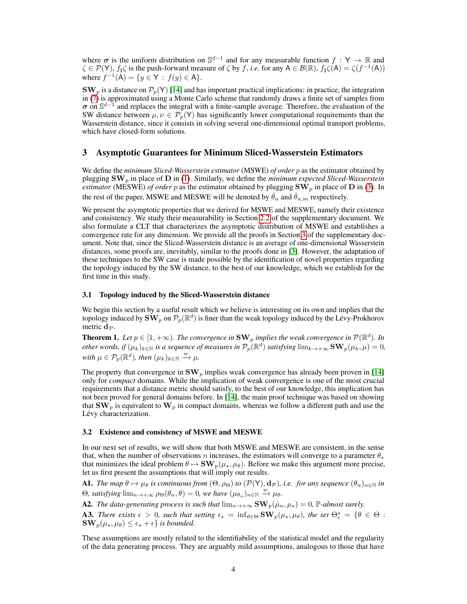where  $\sigma$  is the uniform distribution on  $\mathbb{S}^{d-1}$  and for any measurable function  $f : Y \to \mathbb{R}$  and  $\zeta \in \mathcal{P}(Y)$ ,  $f_{\sharp} \zeta$  is the push-forward measure of  $\zeta$  by f, *i.e.* for any  $A \in \mathcal{B}(\mathbb{R})$ ,  $f_{\sharp} \zeta(A) = \zeta(f^{-1}(A))$ where  $f^{-1}(A) = \{ y \in Y : f(y) \in A \}.$ 

 $\text{SW}_p$  is a distance on  $\mathcal{P}_p(\text{Y})$  [14] and has important practical implications: in practice, the integration in (7) is approximated using a Monte Carlo scheme that randomly draws a finite set of samples from  $\sigma$  on  $\mathbb{S}^{d-1}$  and replaces the integral with a finite-sample average. Therefore, the evaluation of the SW distance between  $\mu, \nu \in \mathcal{P}_p(Y)$  has significantly lower computational requirements than the Wasserstein distance, since it consists in solving several one-dimensional optimal transport problems, which have closed-form solutions.

## 3 Asymptotic Guarantees for Minimum Sliced-Wasserstein Estimators

We define the *minimum Sliced-Wasserstein estimator* (MSWE) *of order* p as the estimator obtained by plugging SW<sup>p</sup> in place of D in (1). Similarly, we define the *minimum expected Sliced-Wasserstein estimator* (MESWE) *of order* p as the estimator obtained by plugging  $\text{SW}_p$  in place of D in (3). In the rest of the paper, MSWE and MESWE will be denoted by  $\hat{\theta}_n$  and  $\hat{\theta}_{n,m}$  respectively.

We present the asymptotic properties that we derived for MSWE and MESWE, namely their existence and consistency. We study their measurability in Section 2.2 of the supplementary document. We also formulate a CLT that characterizes the asymptotic distribution of MSWE and establishes a convergence rate for any dimension. We provide all the proofs in Section 3 of the supplementary document. Note that, since the Sliced-Wasserstein distance is an average of one-dimensional Wasserstein distances, some proofs are, inevitably, similar to the proofs done in [3]. However, the adaptation of these techniques to the SW case is made possible by the identification of novel properties regarding the topology induced by the SW distance, to the best of our knowledge, which we establish for the first time in this study.

#### 3.1 Topology induced by the Sliced-Wasserstein distance

We begin this section by a useful result which we believe is interesting on its own and implies that the topology induced by  $\tilde{\textbf{SW}}_p$  on  $\mathcal{P}_p(\mathbb{R}^d)$  is finer than the weak topology induced by the Lévy-Prokhorov metric  $d_{\mathcal{P}}$ .

**Theorem 1.** Let  $p \in [1, +\infty)$ . The convergence in  $\text{SW}_p$  implies the weak convergence in  $\mathcal{P}(\mathbb{R}^d)$ . In *other words, if*  $(\mu_k)_{k \in \mathbb{N}}$  *is a sequence of measures in*  $\mathcal{P}_p(\mathbb{R}^d)$  *satisfying*  $\lim_{k \to +\infty} \mathbf{SW}_p(\mu_k, \mu) = 0$ *,* with  $\mu \in \mathcal{P}_p(\mathbb{R}^d)$ , then  $(\mu_k)_{k \in \mathbb{N}} \stackrel{w}{\to} \mu$ .

The property that convergence in  $\text{SW}_p$  implies weak convergence has already been proven in [14] only for *compact* domains. While the implication of weak convergence is one of the most crucial requirements that a distance metric should satisfy, to the best of our knowledge, this implication has not been proved for general domains before. In [14], the main proof technique was based on showing that  $\mathbf{SW}_p$  is equivalent to  $\mathbf{W}_p$  in compact domains, whereas we follow a different path and use the Lévy characterization.

#### 3.2 Existence and consistency of MSWE and MESWE

In our next set of results, we will show that both MSWE and MESWE are consistent, in the sense that, when the number of observations n increases, the estimators will converge to a parameter  $\theta_{\star}$ that minimizes the ideal problem  $\theta \mapsto SW_p(\mu_*, \mu_\theta)$ . Before we make this argument more precise, let us first present the assumptions that will imply our results.

**A1.** *The map*  $\theta \mapsto \mu_{\theta}$  *is continuous from*  $(\Theta, \rho_{\Theta})$  *to*  $(\mathcal{P}(Y), d_{\mathcal{P}})$ *, i.e. for any sequence*  $(\theta_n)_{n \in \mathbb{N}}$  *in*  $\Theta$ *, satisfying*  $\lim_{n\to+\infty} \rho_{\Theta}(\theta_n,\theta) = 0$ *, we have*  $(\mu_{\theta_n})_{n\in\mathbb{N}} \stackrel{w}{\to} \mu_{\theta}$ *.* 

A2. *The data-generating process is such that*  $\lim_{n\to+\infty} SW_p(\hat{\mu}_n, \mu_\star) = 0$ , P-almost surely.

A3. There exists  $\epsilon > 0$ , such that setting  $\epsilon_{\star} = \inf_{\theta \in \Theta} SW_p(\mu_{\star}, \mu_{\theta})$ , the set  $\Theta_{\epsilon}^{\star} = \{ \theta \in \Theta :$  $\mathbf{SW}_p(\mu_\star, \mu_\theta) \leq \epsilon_\star + \epsilon$  *is bounded.* 

These assumptions are mostly related to the identifiability of the statistical model and the regularity of the data generating process. They are arguably mild assumptions, analogous to those that have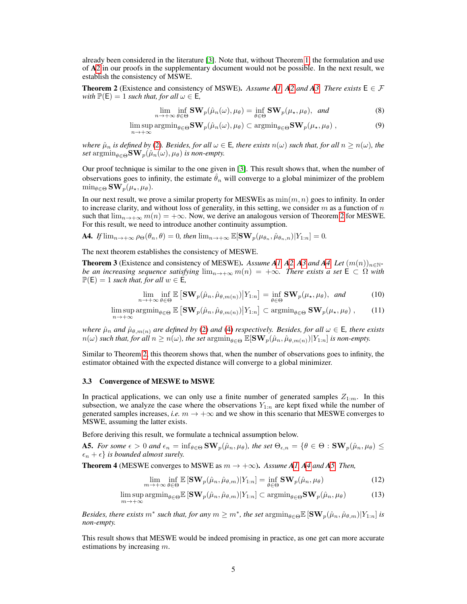already been considered in the literature [3]. Note that, without Theorem 1, the formulation and use of A2 in our proofs in the supplementary document would not be possible. In the next result, we establish the consistency of MSWE.

**Theorem 2** (Existence and consistency of MSWE). Assume A1, A2 and A3. There exists  $E \in \mathcal{F}$ *with*  $\mathbb{P}(\mathsf{E}) = 1$  *such that, for all*  $\omega \in \mathsf{E}$ *,* 

$$
\lim_{n \to +\infty} \inf_{\theta \in \Theta} \mathbf{SW}_p(\hat{\mu}_n(\omega), \mu_\theta) = \inf_{\theta \in \Theta} \mathbf{SW}_p(\mu_\star, \mu_\theta), \text{ and}
$$
\n(8)

lim sup  $\limsup_{n\to+\infty} \operatorname{argmin}_{\theta \in \Theta} \mathbf{SW}_p(\hat{\mu}_n(\omega), \mu_\theta) \subset \operatorname{argmin}_{\theta \in \Theta} \mathbf{SW}_p(\mu_\star, \mu_\theta)$ , (9)

*where*  $\hat{\mu}_n$  *is defined by* (2)*. Besides, for all*  $\omega \in E$ *, there exists*  $n(\omega)$  *such that, for all*  $n \geq n(\omega)$ *, the set* argmin $_{\theta \in \Theta}$ **SW**<sub>p</sub>( $\hat{\mu}_n(\omega), \mu_{\theta}$ ) *is non-empty.* 

Our proof technique is similar to the one given in [3]. This result shows that, when the number of observations goes to infinity, the estimate  $\hat{\theta}_n$  will converge to a global minimizer of the problem  $\min_{\theta \in \Theta} \mathbf{SW}_p(\mu_{\star}, \mu_{\theta}).$ 

In our next result, we prove a similar property for MESWEs as  $min(m, n)$  goes to infinity. In order to increase clarity, and without loss of generality, in this setting, we consider  $m$  as a function of  $n$ such that  $\lim_{n\to+\infty} m(n) = +\infty$ . Now, we derive an analogous version of Theorem 2 for MESWE. For this result, we need to introduce another continuity assumption.

**A4.** *If*  $\lim_{n\to+\infty} \rho_{\Theta}(\theta_n, \theta) = 0$ , then  $\lim_{n\to+\infty} \mathbb{E}[\mathbf{SW}_p(\mu_{\theta_n}, \hat{\mu}_{\theta_n,n})|Y_{1:n}] = 0$ .

The next theorem establishes the consistency of MESWE.

**Theorem 3** (Existence and consistency of MESWE). Assume A1, A2, A3 and A4. Let  $(m(n))_{n\in\mathbb{N}^*}$ *be an increasing sequence satisfying*  $\lim_{n\to+\infty} m(n) = +\infty$ *. There exists a set*  $\mathsf{E} \subset \Omega$  *with*  $\mathbb{P}(\mathsf{E}) = 1$  *such that, for all*  $w \in \mathsf{E}$ *,* 

$$
\lim_{n \to +\infty} \inf_{\theta \in \Theta} \mathbb{E} \left[ \mathbf{SW}_p(\hat{\mu}_n, \hat{\mu}_{\theta, m(n)}) \middle| Y_{1:n} \right] = \inf_{\theta \in \Theta} \mathbf{SW}_p(\mu_\star, \mu_\theta), \text{ and}
$$
 (10)

 $\limsup_{n \to +\infty} \operatorname{argmin}_{\theta \in \Theta} \mathbb{E} \left[ \mathbf{SW}_p(\hat{\mu}_n, \hat{\mu}_{\theta, m(n)}) \big| Y_{1:n} \right] \subset \operatorname{argmin}_{\theta \in \Theta} \mathbf{SW}_p(\mu_\star, \mu_\theta)$ , (11)  $n\rightarrow+\infty$ 

*where*  $\hat{\mu}_n$  *and*  $\hat{\mu}_{\theta,m(n)}$  *are defined by* (2) *and* (4) *respectively. Besides, for all*  $\omega \in E$ *, there exists*  $n(\omega)$  *such that, for all*  $n \geq n(\omega)$ *, the set*  $\operatorname{argmin}_{\theta \in \Theta} \mathbb{E}[\mathbf{SW}_p(\hat{\mu}_n, \hat{\mu}_{\theta, m(n)}) | Y_{1:n}]$  *is non-empty.* 

Similar to Theorem 2, this theorem shows that, when the number of observations goes to infinity, the estimator obtained with the expected distance will converge to a global minimizer.

#### 3.3 Convergence of MESWE to MSWE

In practical applications, we can only use a finite number of generated samples  $Z_{1:m}$ . In this subsection, we analyze the case where the observations  $Y_{1:n}$  are kept fixed while the number of generated samples increases, *i.e.*  $m \to +\infty$  and we show in this scenario that MESWE converges to MSWE, assuming the latter exists.

Before deriving this result, we formulate a technical assumption below.

**A5.** *For some*  $\epsilon > 0$  *and*  $\epsilon_n = \inf_{\theta \in \Theta} \mathbf{SW}_p(\hat{\mu}_n, \mu_\theta)$ *, the set*  $\Theta_{\epsilon,n} = \{\theta \in \Theta : \mathbf{SW}_p(\hat{\mu}_n, \mu_\theta) \leq \epsilon_n\}$  $\{\epsilon_n + \epsilon\}$  *is bounded almost surely.* 

**Theorem 4** (MESWE converges to MSWE as  $m \rightarrow +\infty$ ). *Assume A1, A4 and A5. Then,* 

$$
\lim_{m \to +\infty} \inf_{\theta \in \Theta} \mathbb{E} \left[ \mathbf{SW}_p(\hat{\mu}_n, \hat{\mu}_{\theta, m}) | Y_{1:n} \right] = \inf_{\theta \in \Theta} \mathbf{SW}_p(\hat{\mu}_n, \mu_\theta)
$$
(12)

$$
\limsup_{m \to +\infty} \operatorname{argmin}_{\theta \in \Theta} \mathbb{E} \left[ \mathbf{SW}_p(\hat{\mu}_n, \hat{\mu}_{\theta, m}) | Y_{1:n} \right] \subset \operatorname{argmin}_{\theta \in \Theta} \mathbf{SW}_p(\hat{\mu}_n, \mu_\theta) \tag{13}
$$

*Besides, there exists*  $m^*$  *such that, for any*  $m \geq m^*$ *, the set*  $\mathrm{argmin}_{\theta \in \Theta} \mathbb{E} \left[ \mathbf{SW}_p(\hat{\mu}_n, \hat{\mu}_{\theta, m}) | Y_{1:n} \right]$  *is non-empty.*

This result shows that MESWE would be indeed promising in practice, as one get can more accurate estimations by increasing  $m$ .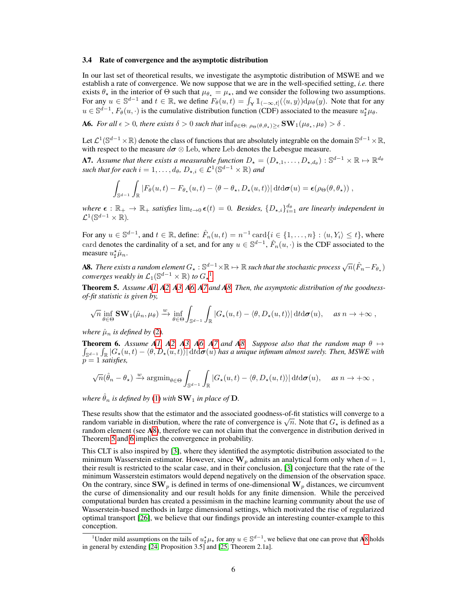#### 3.4 Rate of convergence and the asymptotic distribution

In our last set of theoretical results, we investigate the asymptotic distribution of MSWE and we establish a rate of convergence. We now suppose that we are in the well-specified setting, *i.e.* there exists  $\theta_{\star}$  in the interior of  $\Theta$  such that  $\mu_{\theta_{\star}} = \mu_{\star}$ , and we consider the following two assumptions. For any  $u \in \mathbb{S}^{d-1}$  and  $t \in \mathbb{R}$ , we define  $F_{\theta}(u, t) = \int_{\mathsf{Y}} \mathbb{1}_{(-\infty, t]}(\langle u, y \rangle) d\mu_{\theta}(y)$ . Note that for any  $u \in \mathbb{S}^{d-1}$ ,  $F_{\theta}(u, \cdot)$  is the cumulative distribution function (CDF) associated to the measure  $u^*_{\sharp} \mu_{\theta}$ .

**A6.** For all  $\epsilon > 0$ , there exists  $\delta > 0$  such that  $\inf_{\theta \in \Theta: \ \rho_{\Theta}(\theta, \theta_*) \geq \epsilon} SW_1(\mu_{\theta_*}, \mu_{\theta}) > \delta$ .

Let  $\mathcal{L}^1(\mathbb{S}^{d-1}\times\mathbb{R})$  denote the class of functions that are absolutely integrable on the domain  $\mathbb{S}^{d-1}\times\mathbb{R}$ , with respect to the measure  $d\sigma \otimes$  Leb, where Leb denotes the Lebesgue measure.

**A7.** Assume that there exists a measurable function  $D_{\star} = (D_{\star,1}, \ldots, D_{\star, d_{\theta}}) : \mathbb{S}^{d-1} \times \mathbb{R} \mapsto \mathbb{R}^{d_{\theta}}$ such that for each  $i = 1, \ldots, d_{\theta}, D_{\star,i} \in \mathcal{L}^1(\mathbb{S}^{d-1} \times \mathbb{R})$  and

$$
\int_{\mathbb{S}^{d-1}} \int_{\mathbb{R}} |F_{\theta}(u,t) - F_{\theta_{\star}}(u,t) - \langle \theta - \theta_{\star}, D_{\star}(u,t) \rangle| \, \mathrm{d}t \mathrm{d}\sigma(u) = \epsilon(\rho_{\Theta}(\theta,\theta_{\star})) \;,
$$

 $where \epsilon : \mathbb{R}_+ \to \mathbb{R}_+$  *satisfies*  $\lim_{t\to 0} \epsilon(t) = 0$ . Besides,  $\{D_{\star,i}\}_{i=1}^{d_{\theta}}$  are linearly independent in  $\mathcal{L}^1(\mathbb{S}^{d-1}\times\mathbb{R})$ .

For any  $u \in \mathbb{S}^{d-1}$ , and  $t \in \mathbb{R}$ , define:  $\hat{F}_n(u,t) = n^{-1} \operatorname{card}\{i \in \{1,\ldots,n\} : \langle u, Y_i \rangle \le t\}$ , where card denotes the cardinality of a set, and for any  $u \in \mathbb{S}^{d-1}$ ,  $\hat{F}_n(u, \cdot)$  is the CDF associated to the measure  $u^*_{\sharp}\hat{\mu}_n$ .

**A8.** There exists a random element  $G_\star : \mathbb{S}^{d-1}\times \mathbb{R} \mapsto \mathbb{R}$  such that the stochastic process  $\sqrt{n}(\hat{F}_n-F_{\theta_\star})$ *converges weakly in*  $\mathcal{L}_1(\mathbb{S}^{d-1}\times\mathbb{R})$  *to*  $G_\star$ <sup>1</sup>.

Theorem 5. *Assume A1, A2, A3, A6, A7 and A8. Then, the asymptotic distribution of the goodnessof-fit statistic is given by,*

$$
\sqrt{n} \inf_{\theta \in \Theta} \mathbf{SW}_1(\hat{\mu}_n, \mu_\theta) \xrightarrow{w} \inf_{\theta \in \Theta} \int_{\mathbb{S}^{d-1}} \int_{\mathbb{R}} |G_{\star}(u, t) - \langle \theta, D_{\star}(u, t) \rangle| \, \mathrm{d}t \mathrm{d}\sigma(u), \quad \text{as } n \to +\infty,
$$

*where*  $\hat{\mu}_n$  *is defined by* (2).

**Theorem 6.** Assume A1, A2, A3, A6, A7 and A8. Suppose also that the random map  $\theta \mapsto$  $\int_{\mathbb{S}^{d-1}}\int_{\mathbb{R}}|G_{\star}(u,t)-\langle\theta,D_{\star}(u,t)\rangle|\, \mathrm{d} t\mathrm{d}\sigma(u)$  has a unique infimum almost surely. Then, MSWE with  $p = 1$  *satisfies,* 

$$
\sqrt{n}(\hat{\theta}_n - \theta_\star) \xrightarrow{w} \operatorname{argmin}_{\theta \in \Theta} \int_{\mathbb{S}^{d-1}} \int_{\mathbb{R}} |G_\star(u,t) - \langle \theta, D_\star(u,t) \rangle| \, \mathrm{d}t \mathrm{d}\sigma(u), \quad \text{as } n \to +\infty,
$$

*where*  $\hat{\theta}_n$  *is defined by* (1) *with*  $\textbf{SW}_1$  *in place of*  $\textbf{D}$ *.* 

These results show that the estimator and the associated goodness-of-fit statistics will converge to a random variable in distribution, where the rate of convergence is  $\sqrt{n}$ . Note that  $G_{\star}$  is defined as a random element (see A8), therefore we can not claim that the convergence in distribution derived in Theorem 5 and 6 implies the convergence in probability.

This CLT is also inspired by [3], where they identified the asymptotic distribution associated to the minimum Wasserstein estimator. However, since  $W_p$  admits an analytical form only when  $d = 1$ , their result is restricted to the scalar case, and in their conclusion, [3] conjecture that the rate of the minimum Wasserstein estimators would depend negatively on the dimension of the observation space. On the contrary, since  $\mathbf{SW}_p$  is defined in terms of one-dimensional  $\mathbf{W}_p$  distances, we circumvent the curse of dimensionality and our result holds for any finite dimension. While the perceived computational burden has created a pessimism in the machine learning community about the use of Wasserstein-based methods in large dimensional settings, which motivated the rise of regularized optimal transport [26], we believe that our findings provide an interesting counter-example to this conception.

<sup>&</sup>lt;sup>1</sup>Under mild assumptions on the tails of  $u^*_{\sharp}\mu_{\star}$  for any  $u \in \mathbb{S}^{d-1}$ , we believe that one can prove that A8 holds in general by extending [24, Proposition 3.5] and [25, Theorem 2.1a].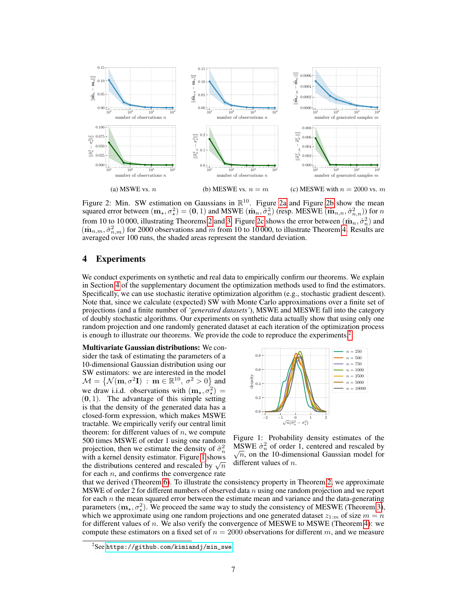

Figure 2: Min. SW estimation on Gaussians in  $\mathbb{R}^{10}$ . Figure 2a and Figure 2b show the mean squared error between  $(m_\star, \sigma_\star^2) = (0, 1)$  and MSWE  $(\hat{m}_n, \hat{\sigma}_n^2)$  (resp. MESWE  $(\hat{m}_{n,n}, \hat{\sigma}_{n,n}^2)$ ) for  $n$ from 10 to 10 000, illustrating Theorems 2 and 3. Figure 2c shows the error between  $(\hat{\mathbf{m}}_n, \hat{\sigma}_n^2)$  and  $(\hat{\mathbf{m}}_{n,m}, \hat{\sigma}_{n,m}^2)$  for 2000 observations and m from 10 to 10 000, to illustrate Theorem 4. Results are averaged over 100 runs, the shaded areas represent the standard deviation.

### 4 Experiments

We conduct experiments on synthetic and real data to empirically confirm our theorems. We explain in Section 4 of the supplementary document the optimization methods used to find the estimators. Specifically, we can use stochastic iterative optimization algorithm (e.g., stochastic gradient descent). Note that, since we calculate (expected) SW with Monte Carlo approximations over a finite set of projections (and a finite number of *'generated datasets'*), MSWE and MESWE fall into the category of doubly stochastic algorithms. Our experiments on synthetic data actually show that using only one random projection and one randomly generated dataset at each iteration of the optimization process is enough to illustrate our theorems. We provide the code to reproduce the experiments.2

Multivariate Gaussian distributions: We consider the task of estimating the parameters of a 10-dimensional Gaussian distribution using our SW estimators: we are interested in the model  $\mathcal{M} = \left\{ \mathcal{N}(\mathbf{m}, \sigma^2 \mathbf{I}) \; : \; \mathbf{m} \in \mathbb{R}^{10}, \; \sigma^2 > 0 \right\}$  and we draw i.i.d. observations with  $(m_{\star}, \sigma_{\star}^2)$  =  $(0, 1)$ . The advantage of this simple setting is that the density of the generated data has a closed-form expression, which makes MSWE tractable. We empirically verify our central limit theorem: for different values of  $n$ , we compute 500 times MSWE of order 1 using one random projection, then we estimate the density of  $\hat{\sigma}_n^2$ with a kernel density estimator. Figure 1 shows the distributions centered and rescaled by  $\sqrt{n}$ for each  $n$ , and confirms the convergence rate



Figure 1: Probability density estimates of the  $\widehat{MSWE}$   $\widehat{\sigma}_n^2$  of order 1, centered and rescaled by  $\widehat{\sigma}_n$  on the 10-dimensional Gaussian model for  $\sqrt{n}$ , on the 10-dimensional Gaussian model for different values of *n*.

that we derived (Theorem 6). To illustrate the consistency property in Theorem 2, we approximate MSWE of order 2 for different numbers of observed data  $n$  using one random projection and we report for each  $n$  the mean squared error between the estimate mean and variance and the data-generating parameters  $(m_{\star}, \sigma_{\star}^2)$ . We proceed the same way to study the consistency of MESWE (Theorem 3), which we approximate using one random projections and one generated dataset  $z_{1:m}$  of size  $m = n$ for different values of n. We also verify the convergence of MESWE to MSWE (Theorem 4): we compute these estimators on a fixed set of  $n = 2000$  observations for different m, and we measure

 $^{2}$ See [https://github.com/kimiandj/min\\_swe](https://github.com/kimiandj/min_swe).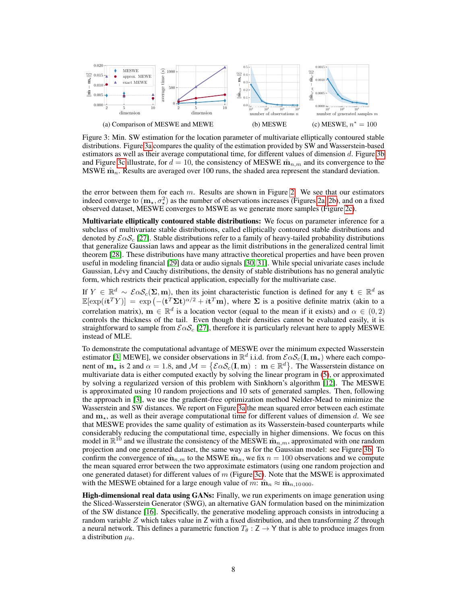

Figure 3: Min. SW estimation for the location parameter of multivariate elliptically contoured stable distributions. Figure 3a compares the quality of the estimation provided by SW and Wasserstein-based estimators as well as their average computational time, for different values of dimension d. Figure 3b and Figure 3c illustrate, for  $d = 10$ , the consistency of MESWE  $\hat{\mathbf{m}}_{n,m}$  and its convergence to the MSWE  $\hat{\mathbf{m}}_n$ . Results are averaged over 100 runs, the shaded area represent the standard deviation.

the error between them for each  $m$ . Results are shown in Figure 2. We see that our estimators indeed converge to  $(m_{\star}, \sigma_{\star}^2)$  as the number of observations increases (Figures 2a, 2b), and on a fixed observed dataset, MESWE converges to MSWE as we generate more samples (Figure 2c).

Multivariate elliptically contoured stable distributions: We focus on parameter inference for a subclass of multivariate stable distributions, called elliptically contoured stable distributions and denoted by  $\mathcal{E}\alpha\mathcal{S}_c$  [27]. Stable distributions refer to a family of heavy-tailed probability distributions that generalize Gaussian laws and appear as the limit distributions in the generalized central limit theorem [28]. These distributions have many attractive theoretical properties and have been proven useful in modeling financial [29] data or audio signals [30, 31]. While special univariate cases include Gaussian, Lévy and Cauchy distributions, the density of stable distributions has no general analytic form, which restricts their practical application, especially for the multivariate case.

If  $Y \in \mathbb{R}^d \sim \mathcal{E} \alpha \mathcal{S}_c(\Sigma, \mathbf{m})$ , then its joint characteristic function is defined for any  $\mathbf{t} \in \mathbb{R}^d$  as  $\mathbb{E}[\exp(it^T Y)] = \exp(-(t^T \Sigma t)^{\alpha/2} + it^T m)$ , where  $\Sigma$  is a positive definite matrix (akin to a correlation matrix),  $\mathbf{m} \in \mathbb{R}^d$  is a location vector (equal to the mean if it exists) and  $\alpha \in (0, 2)$ controls the thickness of the tail. Even though their densities cannot be evaluated easily, it is straightforward to sample from  $\mathcal{E}\alpha\mathcal{S}_c$  [27], therefore it is particularly relevant here to apply MESWE instead of MLE.

To demonstrate the computational advantage of MESWE over the minimum expected Wasserstein estimator [3, MEWE], we consider observations in  $\mathbb{R}^d$  i.i.d. from  $\mathcal{E} \alpha \mathcal{S}_c(\mathbf{I}, \mathbf{m}_\star)$  where each component of  $m_{\star}$  is 2 and  $\alpha = 1.8$ , and  $\mathcal{M} = \{ \mathcal{E} \alpha \mathcal{S}_c(\mathbf{I}, \mathbf{m}) : \mathbf{m} \in \mathbb{R}^d \}$ . The Wasserstein distance on multivariate data is either computed exactly by solving the linear program in (5), or approximated by solving a regularized version of this problem with Sinkhorn's algorithm [12]. The MESWE is approximated using 10 random projections and 10 sets of generated samples. Then, following the approach in [3], we use the gradient-free optimization method Nelder-Mead to minimize the Wasserstein and SW distances. We report on Figure 3a the mean squared error between each estimate and  $m_{\star}$ , as well as their average computational time for different values of dimension d. We see that MESWE provides the same quality of estimation as its Wasserstein-based counterparts while considerably reducing the computational time, especially in higher dimensions. We focus on this model in  $\mathbb{R}^{10}$  and we illustrate the consistency of the MESWE  $\hat{\mathbf{m}}_{n,m}$ , approximated with one random projection and one generated dataset, the same way as for the Gaussian model: see Figure 3b. To confirm the convergence of  $\hat{\mathbf{m}}_{n,m}$  to the MSWE  $\hat{\mathbf{m}}_{n}$ , we fix  $n = 100$  observations and we compute the mean squared error between the two approximate estimators (using one random projection and one generated dataset) for different values of  $m$  (Figure 3c). Note that the MSWE is approximated with the MESWE obtained for a large enough value of m:  $\hat{\mathbf{m}}_n \approx \hat{\mathbf{m}}_{n,10\,000}$ .

High-dimensional real data using GANs: Finally, we run experiments on image generation using the Sliced-Wasserstein Generator (SWG), an alternative GAN formulation based on the minimization of the SW distance [16]. Specifically, the generative modeling approach consists in introducing a random variable  $Z$  which takes value in  $Z$  with a fixed distribution, and then transforming  $Z$  through a neural network. This defines a parametric function  $T_{\theta} : Z \to Y$  that is able to produce images from a distribution  $\mu_{\theta}$ .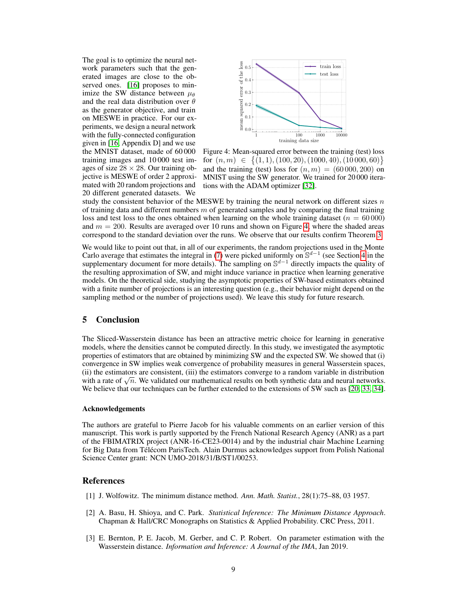The goal is to optimize the neural network parameters such that the generated images are close to the observed ones. [16] proposes to minimize the SW distance between  $\mu_{\theta}$ and the real data distribution over  $\theta$ as the generator objective, and train on MESWE in practice. For our experiments, we design a neural network with the fully-connected configuration given in [16, Appendix D] and we use the MNIST dataset, made of 60 000 training images and 10 000 test images of size  $28 \times 28$ . Our training objective is MESWE of order 2 approximated with 20 random projections and 20 different generated datasets. We



Figure 4: Mean-squared error between the training (test) loss for  $(n, m) \in \{(1, 1), (100, 20), (1000, 40), (10000, 60)\}\$ and the training (test) loss for  $(n, m) = (60000, 200)$  on MNIST using the SW generator. We trained for 20 000 iterations with the ADAM optimizer [32].

study the consistent behavior of the MESWE by training the neural network on different sizes  $n$ of training data and different numbers  $m$  of generated samples and by comparing the final training loss and test loss to the ones obtained when learning on the whole training dataset ( $n = 60000$ ) and  $m = 200$ . Results are averaged over 10 runs and shown on Figure 4, where the shaded areas correspond to the standard deviation over the runs. We observe that our results confirm Theorem 3.

We would like to point out that, in all of our experiments, the random projections used in the Monte Carlo average that estimates the integral in (7) were picked uniformly on  $\mathbb{S}^{d-1}$  (see Section 4 in the supplementary document for more details). The sampling on  $\mathbb{S}^{d-1}$  directly impacts the quality of the resulting approximation of SW, and might induce variance in practice when learning generative models. On the theoretical side, studying the asymptotic properties of SW-based estimators obtained with a finite number of projections is an interesting question (e.g., their behavior might depend on the sampling method or the number of projections used). We leave this study for future research.

## 5 Conclusion

The Sliced-Wasserstein distance has been an attractive metric choice for learning in generative models, where the densities cannot be computed directly. In this study, we investigated the asymptotic properties of estimators that are obtained by minimizing SW and the expected SW. We showed that (i) convergence in SW implies weak convergence of probability measures in general Wasserstein spaces, (ii) the estimators are consistent, (iii) the estimators converge to a random variable in distribution with a rate of  $\sqrt{n}$ . We validated our mathematical results on both synthetic data and neural networks. We believe that our techniques can be further extended to the extensions of SW such as [20, 33, 34].

#### Acknowledgements

The authors are grateful to Pierre Jacob for his valuable comments on an earlier version of this manuscript. This work is partly supported by the French National Research Agency (ANR) as a part of the FBIMATRIX project (ANR-16-CE23-0014) and by the industrial chair Machine Learning for Big Data from Télécom ParisTech. Alain Durmus acknowledges support from Polish National Science Center grant: NCN UMO-2018/31/B/ST1/00253.

#### References

- [1] J. Wolfowitz. The minimum distance method. *Ann. Math. Statist.*, 28(1):75–88, 03 1957.
- [2] A. Basu, H. Shioya, and C. Park. *Statistical Inference: The Minimum Distance Approach*. Chapman & Hall/CRC Monographs on Statistics & Applied Probability. CRC Press, 2011.
- [3] E. Bernton, P. E. Jacob, M. Gerber, and C. P. Robert. On parameter estimation with the Wasserstein distance. *Information and Inference: A Journal of the IMA*, Jan 2019.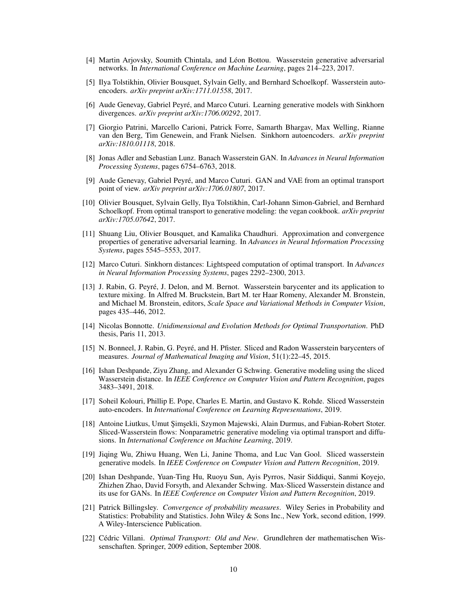- [4] Martin Arjovsky, Soumith Chintala, and Léon Bottou. Wasserstein generative adversarial networks. In *International Conference on Machine Learning*, pages 214–223, 2017.
- [5] Ilya Tolstikhin, Olivier Bousquet, Sylvain Gelly, and Bernhard Schoelkopf. Wasserstein autoencoders. *arXiv preprint arXiv:1711.01558*, 2017.
- [6] Aude Genevay, Gabriel Peyré, and Marco Cuturi. Learning generative models with Sinkhorn divergences. *arXiv preprint arXiv:1706.00292*, 2017.
- [7] Giorgio Patrini, Marcello Carioni, Patrick Forre, Samarth Bhargav, Max Welling, Rianne van den Berg, Tim Genewein, and Frank Nielsen. Sinkhorn autoencoders. *arXiv preprint arXiv:1810.01118*, 2018.
- [8] Jonas Adler and Sebastian Lunz. Banach Wasserstein GAN. In *Advances in Neural Information Processing Systems*, pages 6754–6763, 2018.
- [9] Aude Genevay, Gabriel Peyré, and Marco Cuturi. GAN and VAE from an optimal transport point of view. *arXiv preprint arXiv:1706.01807*, 2017.
- [10] Olivier Bousquet, Sylvain Gelly, Ilya Tolstikhin, Carl-Johann Simon-Gabriel, and Bernhard Schoelkopf. From optimal transport to generative modeling: the vegan cookbook. *arXiv preprint arXiv:1705.07642*, 2017.
- [11] Shuang Liu, Olivier Bousquet, and Kamalika Chaudhuri. Approximation and convergence properties of generative adversarial learning. In *Advances in Neural Information Processing Systems*, pages 5545–5553, 2017.
- [12] Marco Cuturi. Sinkhorn distances: Lightspeed computation of optimal transport. In *Advances in Neural Information Processing Systems*, pages 2292–2300, 2013.
- [13] J. Rabin, G. Peyré, J. Delon, and M. Bernot. Wasserstein barycenter and its application to texture mixing. In Alfred M. Bruckstein, Bart M. ter Haar Romeny, Alexander M. Bronstein, and Michael M. Bronstein, editors, *Scale Space and Variational Methods in Computer Vision*, pages 435–446, 2012.
- [14] Nicolas Bonnotte. *Unidimensional and Evolution Methods for Optimal Transportation*. PhD thesis, Paris 11, 2013.
- [15] N. Bonneel, J. Rabin, G. Peyré, and H. Pfister. Sliced and Radon Wasserstein barycenters of measures. *Journal of Mathematical Imaging and Vision*, 51(1):22–45, 2015.
- [16] Ishan Deshpande, Ziyu Zhang, and Alexander G Schwing. Generative modeling using the sliced Wasserstein distance. In *IEEE Conference on Computer Vision and Pattern Recognition*, pages 3483–3491, 2018.
- [17] Soheil Kolouri, Phillip E. Pope, Charles E. Martin, and Gustavo K. Rohde. Sliced Wasserstein auto-encoders. In *International Conference on Learning Representations*, 2019.
- [18] Antoine Liutkus, Umut Şimşekli, Szymon Majewski, Alain Durmus, and Fabian-Robert Stoter. Sliced-Wasserstein flows: Nonparametric generative modeling via optimal transport and diffusions. In *International Conference on Machine Learning*, 2019.
- [19] Jiqing Wu, Zhiwu Huang, Wen Li, Janine Thoma, and Luc Van Gool. Sliced wasserstein generative models. In *IEEE Conference on Computer Vision and Pattern Recognition*, 2019.
- [20] Ishan Deshpande, Yuan-Ting Hu, Ruoyu Sun, Ayis Pyrros, Nasir Siddiqui, Sanmi Koyejo, Zhizhen Zhao, David Forsyth, and Alexander Schwing. Max-Sliced Wasserstein distance and its use for GANs. In *IEEE Conference on Computer Vision and Pattern Recognition*, 2019.
- [21] Patrick Billingsley. *Convergence of probability measures*. Wiley Series in Probability and Statistics: Probability and Statistics. John Wiley & Sons Inc., New York, second edition, 1999. A Wiley-Interscience Publication.
- [22] Cédric Villani. *Optimal Transport: Old and New*. Grundlehren der mathematischen Wissenschaften. Springer, 2009 edition, September 2008.